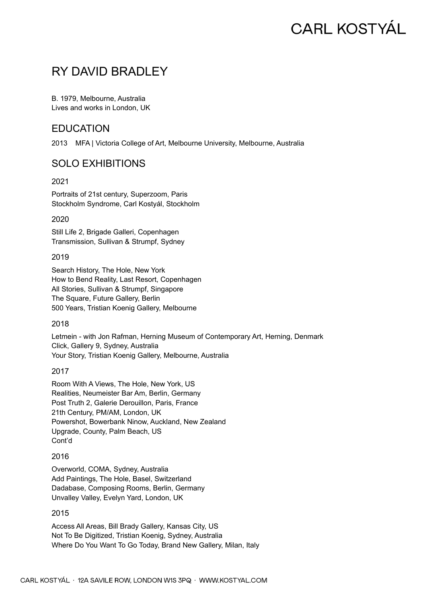# **CARL KOSTYÁL**

## RY DAVID BRADLEY

B. 1979, Melbourne, Australia Lives and works in London, UK

## **EDUCATION**

2013 MFA | Victoria College of Art, Melbourne University, Melbourne, Australia

## SOLO EXHIBITIONS

2021

Portraits of 21st century, Superzoom, Paris Stockholm Syndrome, Carl Kostyál, Stockholm

2020

Still Life 2, Brigade Galleri, Copenhagen Transmission, Sullivan & Strumpf, Sydney

2019

Search History, The Hole, New York How to Bend Reality, Last Resort, Copenhagen All Stories, Sullivan & Strumpf, Singapore The Square, Future Gallery, Berlin 500 Years, Tristian Koenig Gallery, Melbourne

2018

Letmein - with Jon Rafman, Herning Museum of Contemporary Art, Herning, Denmark Click, Gallery 9, Sydney, Australia Your Story, Tristian Koenig Gallery, Melbourne, Australia

2017

Room With A Views, The Hole, New York, US Realities, Neumeister Bar Am, Berlin, Germany Post Truth 2, Galerie Derouillon, Paris, France 21th Century, PM/AM, London, UK Powershot, Bowerbank Ninow, Auckland, New Zealand Upgrade, County, Palm Beach, US Cont'd

#### 2016

Overworld, COMA, Sydney, Australia Add Paintings, The Hole, Basel, Switzerland Dadabase, Composing Rooms, Berlin, Germany Unvalley Valley, Evelyn Yard, London, UK

#### 2015

Access All Areas, Bill Brady Gallery, Kansas City, US Not To Be Digitized, Tristian Koenig, Sydney, Australia Where Do You Want To Go Today, Brand New Gallery, Milan, Italy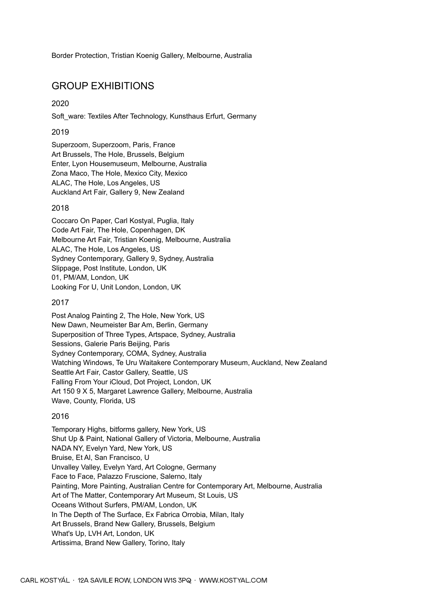Border Protection, Tristian Koenig Gallery, Melbourne, Australia

## GROUP EXHIBITIONS

2020

Soft\_ware: Textiles After Technology, Kunsthaus Erfurt, Germany

#### 2019

Superzoom, Superzoom, Paris, France Art Brussels, The Hole, Brussels, Belgium Enter, Lyon Housemuseum, Melbourne, Australia Zona Maco, The Hole, Mexico City, Mexico ALAC, The Hole, Los Angeles, US Auckland Art Fair, Gallery 9, New Zealand

#### 2018

Coccaro On Paper, Carl Kostyal, Puglia, Italy Code Art Fair, The Hole, Copenhagen, DK Melbourne Art Fair, Tristian Koenig, Melbourne, Australia ALAC, The Hole, Los Angeles, US Sydney Contemporary, Gallery 9, Sydney, Australia Slippage, Post Institute, London, UK 01, PM/AM, London, UK Looking For U, Unit London, London, UK

#### 2017

Post Analog Painting 2, The Hole, New York, US New Dawn, Neumeister Bar Am, Berlin, Germany Superposition of Three Types, Artspace, Sydney, Australia Sessions, Galerie Paris Beijing, Paris Sydney Contemporary, COMA, Sydney, Australia Watching Windows, Te Uru Waitakere Contemporary Museum, Auckland, New Zealand Seattle Art Fair, Castor Gallery, Seattle, US Falling From Your iCloud, Dot Project, London, UK Art 150 9 X 5, Margaret Lawrence Gallery, Melbourne, Australia Wave, County, Florida, US

#### 2016

Temporary Highs, bitforms gallery, New York, US Shut Up & Paint, National Gallery of Victoria, Melbourne, Australia NADA NY, Evelyn Yard, New York, US Bruise, Et Al, San Francisco, U Unvalley Valley, Evelyn Yard, Art Cologne, Germany Face to Face, Palazzo Fruscione, Salerno, Italy Painting, More Painting, Australian Centre for Contemporary Art, Melbourne, Australia Art of The Matter, Contemporary Art Museum, St Louis, US Oceans Without Surfers, PM/AM, London, UK In The Depth of The Surface, Ex Fabrica Orrobia, Milan, Italy Art Brussels, Brand New Gallery, Brussels, Belgium What's Up, LVH Art, London, UK Artissima, Brand New Gallery, Torino, Italy